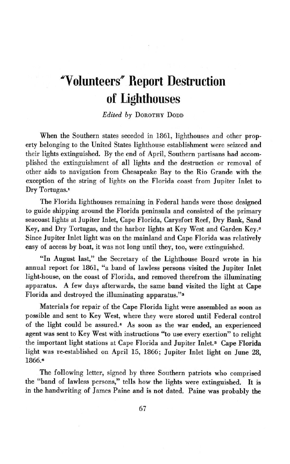## **"Volunteers' Report Destruction of Lighthouses**

*Edited by* **DOROTHY DODD**

When the Southern states seceded in **1861,** lighthouses and other property belonging to the United States lighthouse establishment were seizeed and their lights extinguished. **By** the end of April, Southern partisans had accomplished the extinguishment of all lights and the destruction or removal of other aids to navigation from Chesapeake Bay to the Rio Grande with the exception of the string of lights on the Florida coast from Jupiter Inlet to **Dry Tortugas.1**

The Florida lighthouses remaining in Federal hands were those designed to guide shipping around the Florida peninsula and consisted of the primary seacoast lights at Jupiter Inlet, Cape Florida, Carysfort Reef, Dry Bank, Sand Key, and Dry Tortugas, and the harbor lights at Key West and Garden **Key. <sup>2</sup>** Since Jupiter Inlet light was on the mainland and Cape Florida was relatively easy of access by boat, it was not long until they, too, were extinguished.

"In August last," the Secretary of the Lighthouse Board wrote in his annual report for **1861,** "a band of lawless persons visited the Jupiter Inlet light-house, on the coast of Florida, and removed therefrom the illuminating apparatus. **A** few days afterwards, the same band visited the light at Cape Florida and destroyed the illuminating apparatus."<sup>3</sup>

Materials for repair of the Cape Florida light were assembled as soon as possible and sent to Key West, where they were stored until Federal control **of** the light could be assured.4 As soon as the war ended, an experienced agent was sent to Key West with instructions "to use every exertion" to relight the important light stations at Cape Florida and Jupiter Inlet.5 Cape Florida light was re-established on April **15, 1866;** Jupiter Inlet light on June **28, 1866.o**

The following letter, signed by three Southern patriots who comprised the "band of lawless persons," tells how the lights were extinguished. It is in the handwriting of James Paine and is not dated. Paine was probably the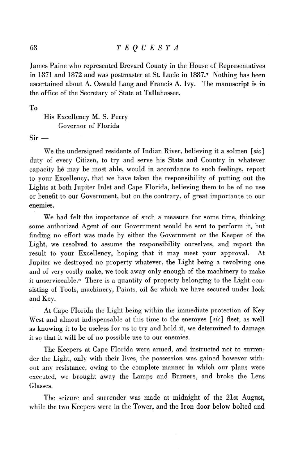James Paine who represented Brevard County in the House of Representatives in 1871 and 1872 and was postmaster at St. Lucie in 1887.<sup>7</sup> Nothing has been ascertained about A. Oswald Lang and Francis A. Ivy. The manuscript is in the office of the Secretary of State at Tallahassee.

To

His Excellency M. S. Perry Governor of Florida

 $Sir -$ 

We the undersigned residents of Indian River, believing it a solmen *[sic]* duty of every Citizen, to try and serve his State and Country in whatever capacity he may be most able, would in accordance to such feelings, report to your Excellency, that we have taken the responsibility of putting out the Lights at both Jupiter Inlet and Cape Florida, believing them to be of no use or benefit to our Government, but on the contrary, of great importance to our enemies.

We had felt the importance of such a measure for some time, thinking some authorized Agent of our Government would be sent to perform it, but finding no effort was made by either the Government or the Keeper of the Light, we resolved to assume the responsibility ourselves, and report the result to your Excellency, hoping that it may meet your approval. At Jupiter we destroyed no property whatever, the Light being a revolving one and of very costly make, we took away only enough of the machinery to make it unserviceable.<sup>8</sup> There is a quantity of property belonging to the Light consisting of Tools, machinery, Paints, oil &c which we have secured under lock and Key.

At Cape Florida the Light being within the immediate protection of Key West and almost indispensable at this time to the enemyes *[sic]* fleet, as well as knowing it to be useless for us to try and hold it, we determined to damage it so that it will be of no possible use to our enemies.

The Keepers at Cape Florida were armed, and instructed not to surrender the Light, only with their lives, the possession was gained however without any resistance, owing to the complete manner in which our plans were executed, we brought away the Lamps and Burners, and broke the Lens Glasses.

The seizure and surrender was made at midnight of the 21st August, while the two Keepers were in the Tower, and the Iron door below bolted and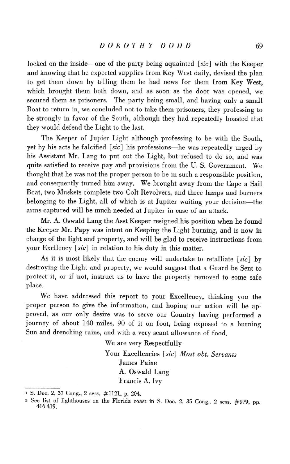locked on the inside-one of the party being aquainted *[sic]* with the Keeper and knowing that he expected supplies from Key West daily, devised the plan to get them down by telling them he had news for them from Key West, which brought them both down, and as soon as the door was opened, we secured them as prisoners. The party being small, and having only a small Boat to return in, we concluded not to take them prisoners, they professing to be strongly in favor of the South, although they had repeatedly boasted that they would defend the Light to the last.

The Keeper of Jupier Light although professing to be with the South, yet by his acts he falcified *[sic]* his professions-he was repeatedly urged by his Assistant Mr. Lang to put out the Light, but refused to do so, and was quite satisfied to receive pay and provisions from the U. S. Government. We thought that he was not the proper person to be in such a responsible position, and consequently turned him away. We brought away from the Cape a Sail Boat, two Muskets complete two Colt Revolvers, and three lamps and burners belonging to the Light, all of which is at Jupiter waiting your decision-the arms captured will be much needed at Jupiter in case of an attack.

Mr. A. Oswald Lang the Asst Keeper resigned his position when he found the Keeper Mr. Papy was intent on Keeping the Light burning, and is now in charge of the light and property, and will be glad to receive instructions from your Excllency *[sic]* in relation to his duty in this matter.

As it is most likely that the enemy will undertake to retalliate *[sic]* by destroying the Light and property, we would suggest that a Guard be Sent to protect it, or if not, instruct us to have the property removed to some safe place.

We have addressed this report to your Excellency, thinking you the proper person to give the information, and hoping our action will be approved, as our only desire was to serve our Country having performed a journey of about 140 miles, 90 of it on foot, being exposed to a burning Sun and drenching rains, and with a very scant allowance of food.

> We are very Respectfully Your Excellencies *[sic] Most obt. Servants* James Paine A. Oswald Lang Francis A. Ivy

**<sup>1</sup>S.** Doc. 2, 37 Cong., 2 sess. #1121, p. 204.

<sup>&</sup>lt;sup>2</sup> See list of lighthouses on the Florida coast in S. Doc. 2, 35 Cong., 2 sess. #979, pp. 416-419.